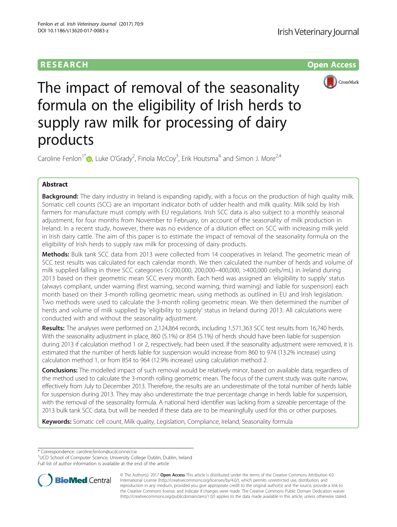# **RESEARCH RESEARCH** *CHECK <b>CHECK*



The impact of removal of the seasonality formula on the eligibility of Irish herds to supply raw milk for processing of dairy products

Caroline Fenlon<sup>1[\\*](http://orcid.org/0000-0002-6768-2224)</sup> <sub>(b</sub>, Luke O'Grady<sup>2</sup>, Finola McCoy<sup>3</sup>, Erik Houtsma<sup>4</sup> and Simon J. More<sup>2,4</sup>

# Abstract

Background: The dairy industry in Ireland is expanding rapidly, with a focus on the production of high quality milk. Somatic cell counts (SCC) are an important indicator both of udder health and milk quality. Milk sold by Irish farmers for manufacture must comply with EU regulations. Irish SCC data is also subject to a monthly seasonal adjustment, for four months from November to February, on account of the seasonality of milk production in Ireland. In a recent study, however, there was no evidence of a dilution effect on SCC with increasing milk yield in Irish dairy cattle. The aim of this paper is to estimate the impact of removal of the seasonality formula on the eligibility of Irish herds to supply raw milk for processing of dairy products.

Methods: Bulk tank SCC data from 2013 were collected from 14 cooperatives in Ireland. The geometric mean of SCC test results was calculated for each calendar month. We then calculated the number of herds and volume of milk supplied falling in three SCC categories (<200,000, 200,000–400,000, >400,000 cells/mL) in Ireland during 2013 based on their geometric mean SCC every month. Each herd was assigned an 'eligibility to supply' status (always compliant, under warning (first warning, second warning, third warning) and liable for suspension) each month based on their 3-month rolling geometric mean, using methods as outlined in EU and Irish legislation. Two methods were used to calculate the 3-month rolling geometric mean. We then determined the number of herds and volume of milk supplied by 'eligibility to supply' status in Ireland during 2013. All calculations were conducted with and without the seasonality adjustment.

Results: The analyses were performed on 2,124,864 records, including 1,571,363 SCC test results from 16,740 herds. With the seasonality adjustment in place, 860 (5.1%) or 854 (5.1%) of herds should have been liable for suspension during 2013 if calculation method 1 or 2, respectively, had been used. If the seasonality adjustment were removed, it is estimated that the number of herds liable for suspension would increase from 860 to 974 (13.2% increase) using calculation method 1, or from 854 to 964 (12.9% increase) using calculation method 2.

**Conclusions:** The modelled impact of such removal would be relatively minor, based on available data, regardless of the method used to calculate the 3-month rolling geometric mean. The focus of the current study was quite narrow, effectively from July to December 2013. Therefore, the results are an underestimate of the total number of herds liable for suspension during 2013. They may also underestimate the true percentage change in herds liable for suspension, with the removal of the seasonality formula. A national herd identifier was lacking from a sizeable percentage of the 2013 bulk tank SCC data, but will be needed if these data are to be meaningfully used for this or other purposes.

Keywords: Somatic cell count, Milk quality, Legislation, Compliance, Ireland, Seasonality formula

\* Correspondence: [caroline.fenlon@ucdconnect.ie](mailto:caroline.fenlon@ucdconnect.ie) <sup>1</sup>

<sup>&</sup>lt;sup>1</sup>UCD School of Computer Science, University College Dublin, Dublin, Ireland Full list of author information is available at the end of the article



© The Author(s). 2017 **Open Access** This article is distributed under the terms of the Creative Commons Attribution 4.0 International License [\(http://creativecommons.org/licenses/by/4.0/](http://creativecommons.org/licenses/by/4.0/)), which permits unrestricted use, distribution, and reproduction in any medium, provided you give appropriate credit to the original author(s) and the source, provide a link to the Creative Commons license, and indicate if changes were made. The Creative Commons Public Domain Dedication waiver [\(http://creativecommons.org/publicdomain/zero/1.0/](http://creativecommons.org/publicdomain/zero/1.0/)) applies to the data made available in this article, unless otherwise stated.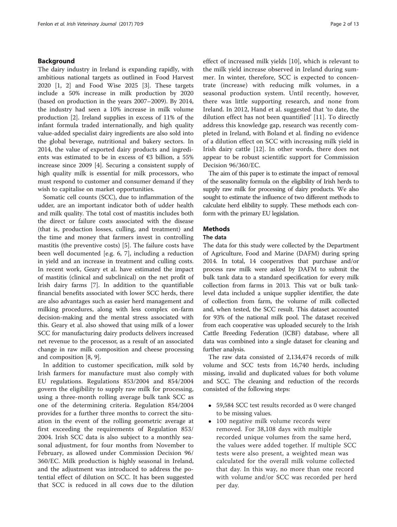# Background

The dairy industry in Ireland is expanding rapidly, with ambitious national targets as outlined in Food Harvest 2020 [[1](#page-12-0), [2\]](#page-12-0) and Food Wise 2025 [\[3](#page-12-0)]. These targets include a 50% increase in milk production by 2020 (based on production in the years 2007–2009). By 2014, the industry had seen a 10% increase in milk volume production [[2\]](#page-12-0). Ireland supplies in excess of 11% of the infant formula traded internationally, and high quality value-added specialist dairy ingredients are also sold into the global beverage, nutritional and bakery sectors. In 2014, the value of exported dairy products and ingredients was estimated to be in excess of  $\epsilon$ 3 billion, a 55% increase since 2009 [[4\]](#page-12-0). Securing a consistent supply of high quality milk is essential for milk processors, who must respond to customer and consumer demand if they wish to capitalise on market opportunities.

Somatic cell counts (SCC), due to inflammation of the udder, are an important indicator both of udder health and milk quality. The total cost of mastitis includes both the direct or failure costs associated with the disease (that is, production losses, culling, and treatment) and the time and money that farmers invest in controlling mastitis (the preventive costs) [[5](#page-12-0)]. The failure costs have been well documented [e.g. [6, 7\]](#page-12-0), including a reduction in yield and an increase in treatment and culling costs. In recent work, Geary et al. have estimated the impact of mastitis (clinical and subclinical) on the net profit of Irish dairy farms [\[7](#page-12-0)]. In addition to the quantifiable financial benefits associated with lower SCC herds, there are also advantages such as easier herd management and milking procedures, along with less complex on-farm decision-making and the mental stress associated with this. Geary et al. also showed that using milk of a lower SCC for manufacturing dairy products delivers increased net revenue to the processor, as a result of an associated change in raw milk composition and cheese processing and composition [\[8](#page-12-0), [9](#page-12-0)].

In addition to customer specification, milk sold by Irish farmers for manufacture must also comply with EU regulations. Regulations 853/2004 and 854/2004 govern the eligibility to supply raw milk for processing, using a three-month rolling average bulk tank SCC as one of the determining criteria. Regulation 854/2004 provides for a further three months to correct the situation in the event of the rolling geometric average at first exceeding the requirements of Regulation 853/ 2004. Irish SCC data is also subject to a monthly seasonal adjustment, for four months from November to February, as allowed under Commission Decision 96/ 360/EC. Milk production is highly seasonal in Ireland, and the adjustment was introduced to address the potential effect of dilution on SCC. It has been suggested that SCC is reduced in all cows due to the dilution

effect of increased milk yields [[10\]](#page-12-0), which is relevant to the milk yield increase observed in Ireland during summer. In winter, therefore, SCC is expected to concentrate (increase) with reducing milk volumes, in a seasonal production system. Until recently, however, there was little supporting research, and none from Ireland. In 2012, Hand et al. suggested that 'to date, the dilution effect has not been quantified' [[11\]](#page-12-0). To directly address this knowledge gap, research was recently completed in Ireland, with Boland et al. finding no evidence of a dilution effect on SCC with increasing milk yield in Irish dairy cattle [[12\]](#page-12-0). In other words, there does not appear to be robust scientific support for Commission Decision 96/360/EC.

The aim of this paper is to estimate the impact of removal of the seasonality formula on the eligibility of Irish herds to supply raw milk for processing of dairy products. We also sought to estimate the influence of two different methods to calculate herd elibility to supply. These methods each conform with the primary EU legislation.

# Methods

## The data

The data for this study were collected by the Department of Agriculture, Food and Marine (DAFM) during spring 2014. In total, 14 cooperatives that purchase and/or process raw milk were asked by DAFM to submit the bulk tank data to a standard specification for every milk collection from farms in 2013. This vat or bulk tanklevel data included a unique supplier identifier, the date of collection from farm, the volume of milk collected and, when tested, the SCC result. This dataset accounted for 93% of the national milk pool. The dataset received from each cooperative was uploaded securely to the Irish Cattle Breeding Federation (ICBF) database, where all data was combined into a single dataset for cleaning and further analysis.

The raw data consisted of 2,134,474 records of milk volume and SCC tests from 16,740 herds, including missing, invalid and duplicated values for both volume and SCC. The cleaning and reduction of the records consisted of the following steps:

- 59,584 SCC test results recorded as 0 were changed to be missing values.
- 100 negative milk volume records were removed. For 38,108 days with multiple recorded unique volumes from the same herd, the values were added together. If multiple SCC tests were also present, a weighted mean was calculated for the overall milk volume collected that day. In this way, no more than one record with volume and/or SCC was recorded per herd per day.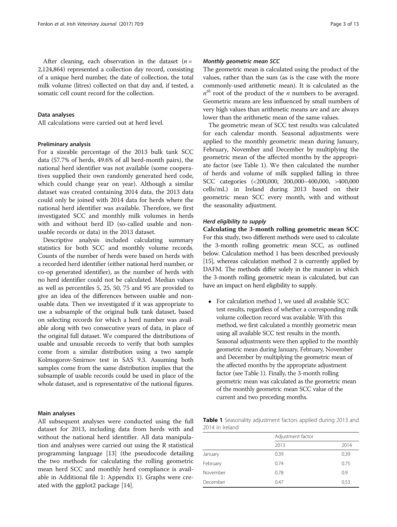<span id="page-2-0"></span>After cleaning, each observation in the dataset  $(n =$ 2,124,864) represented a collection day record, consisting of a unique herd number, the date of collection, the total milk volume (litres) collected on that day and, if tested, a somatic cell count record for the collection.

### Data analyses

All calculations were carried out at herd level.

### Preliminary analysis

For a sizeable percentage of the 2013 bulk tank SCC data (57.7% of herds, 49.6% of all herd-month pairs), the national herd identifier was not available (some cooperatives supplied their own randomly generated herd code, which could change year on year). Although a similar dataset was created containing 2014 data, the 2013 data could only be joined with 2014 data for herds where the national herd identifier was available. Therefore, we first investigated SCC and monthly milk volumes in herds with and without herd ID (so-called usable and nonusable records or data) in the 2013 dataset.

Descriptive analysis included calculating summary statistics for both SCC and monthly volume records. Counts of the number of herds were based on herds with a recorded herd identifier (either national herd number, or co-op generated identifier), as the number of herds with no herd identifier could not be calculated. Median values as well as percentiles 5, 25, 50, 75 and 95 are provided to give an idea of the differences between usable and nonusable data. Then we investigated if it was appropriate to use a subsample of the original bulk tank dataset, based on selecting records for which a herd number was available along with two consecutive years of data, in place of the original full dataset. We compared the distributions of usable and unusable records to verify that both samples come from a similar distribution using a two sample Kolmogorov-Smirnov test in SAS 9.3. Assuming both samples come from the same distribution implies that the subsample of usable records could be used in place of the whole dataset, and is representative of the national figures.

### Main analyses

All subsequent analyses were conducted using the full dataset for 2013, including data from herds with and without the national herd identifier. All data manipulation and analyses were carried out using the R statistical programming language [\[13](#page-12-0)] (the pseudocode detailing the two methods for calculating the rolling geometric mean herd SCC and monthly herd compliance is available in Additional file [1:](#page-12-0) Appendix 1). Graphs were created with the ggplot2 package [\[14](#page-12-0)].

### Monthly geometric mean SCC

The geometric mean is calculated using the product of the values, rather than the sum (as is the case with the more commonly-used arithmetic mean). It is calculated as the  $n<sup>th</sup>$  root of the product of the *n* numbers to be averaged. Geometric means are less influenced by small numbers of very high values than arithmetic means are and are always lower than the arithmetic mean of the same values.

The geometric mean of SCC test results was calculated for each calendar month. Seasonal adjustments were applied to the monthly geometric mean during January, February, November and December by multiplying the geometric mean of the affected months by the appropriate factor (see Table 1). We then calculated the number of herds and volume of milk supplied falling in three SCC categories (<200,000, 200,000–400,000, >400,000 cells/mL) in Ireland during 2013 based on their geometric mean SCC every month, with and without the seasonality adjustment.

### Herd eligibility to supply

Calculating the 3-month rolling geometric mean SCC For this study, two different methods were used to calculate the 3-month rolling geometric mean SCC, as outlined below. Calculation method 1 has been described previously [[15](#page-12-0)], whereas calculation method 2 is currently applied by DAFM. The methods differ solely in the manner in which the 3-month rolling geometric mean is calculated, but can have an impact on herd eligibility to supply.

 For calculation method 1, we used all available SCC test results, regardless of whether a corresponding milk volume collection record was available. With this method, we first calculated a monthly geometric mean using all available SCC test results in the month. Seasonal adjustments were then applied to the monthly geometric mean during January, February, November and December by multiplying the geometric mean of the affected months by the appropriate adjustment factor (see Table 1). Finally, the 3-month rolling geometric mean was calculated as the geometric mean of the monthly geometric mean SCC value of the current and two preceding months.

Table 1 Seasonality adjustment factors applied during 2013 and 2014 in Ireland

|          | Adjustment factor |      |  |  |  |
|----------|-------------------|------|--|--|--|
|          | 2013              | 2014 |  |  |  |
| January  | 0.39              | 0.39 |  |  |  |
| February | 0.74              | 0.75 |  |  |  |
| November | 0.78              | 0.9  |  |  |  |
| December | 0.47              | 0.53 |  |  |  |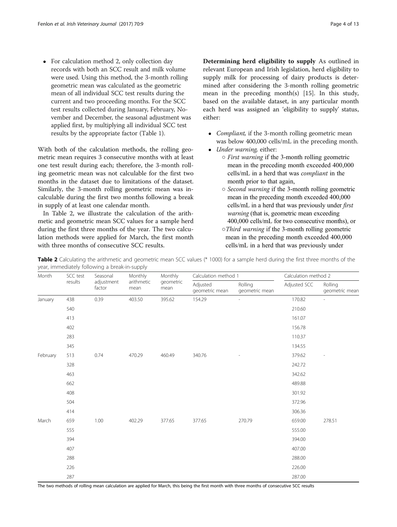• For calculation method 2, only collection day records with both an SCC result and milk volume were used. Using this method, the 3-month rolling geometric mean was calculated as the geometric mean of all individual SCC test results during the current and two proceeding months. For the SCC test results collected during January, February, November and December, the seasonal adjustment was applied first, by multiplying all individual SCC test results by the appropriate factor (Table [1\)](#page-2-0).

With both of the calculation methods, the rolling geometric mean requires 3 consecutive months with at least one test result during each; therefore, the 3-month rolling geometric mean was not calculable for the first two months in the dataset due to limitations of the dataset. Similarly, the 3-month rolling geometric mean was incalculable during the first two months following a break in supply of at least one calendar month.

In Table 2, we illustrate the calculation of the arithmetic and geometric mean SCC values for a sample herd during the first three months of the year. The two calculation methods were applied for March, the first month with three months of consecutive SCC results.

Determining herd eligibility to supply As outlined in relevant European and Irish legislation, herd eligibility to supply milk for processing of dairy products is determined after considering the 3-month rolling geometric mean in the preceding month(s) [\[15\]](#page-12-0). In this study, based on the available dataset, in any particular month each herd was assigned an 'eligibility to supply' status, either:

- Compliant, if the 3-month rolling geometric mean was below 400,000 cells/mL in the preceding month.
- Under warning, either:
	- $\circ$  *First warning* if the 3-month rolling geometric mean in the preceding month exceeded 400,000 cells/mL in a herd that was compliant in the month prior to that again,
	- Second warning if the 3-month rolling geometric mean in the preceding month exceeded 400,000 cells/mL in a herd that was previously under first warning (that is, geometric mean exceeding 400,000 cells/mL for two consecutive months), or
	- ○Third warning if the 3-month rolling geometric mean in the preceding month exceeded 400,000 cells/mL in a herd that was previously under

Table 2 Calculating the arithmetic and geometric mean SCC values (\* 1000) for a sample herd during the first three months of the year, immediately following a break-in-supply

| Month    | SCC test | Seasonal             | Monthly<br>arithmetic<br>mean | Monthly<br>geometric<br>mean | Calculation method 1       |                           | Calculation method 2 |                           |
|----------|----------|----------------------|-------------------------------|------------------------------|----------------------------|---------------------------|----------------------|---------------------------|
|          | results  | adjustment<br>factor |                               |                              | Adjusted<br>geometric mean | Rolling<br>geometric mean | Adjusted SCC         | Rolling<br>geometric mean |
| January  | 438      | 0.39                 | 403.50                        | 395.62                       | 154.29                     | $\overline{a}$            | 170.82               |                           |
|          | 540      |                      |                               |                              |                            |                           | 210.60               |                           |
|          | 413      |                      |                               |                              |                            |                           | 161.07               |                           |
|          | 402      |                      |                               |                              |                            |                           | 156.78               |                           |
|          | 283      |                      |                               |                              |                            |                           | 110.37               |                           |
|          | 345      |                      |                               |                              |                            |                           | 134.55               |                           |
| February | 513      | 0.74                 | 470.29                        | 460.49                       | 340.76                     |                           | 379.62               | L,                        |
|          | 328      |                      |                               |                              |                            |                           | 242.72               |                           |
|          | 463      |                      |                               |                              |                            |                           | 342.62               |                           |
|          | 662      |                      |                               |                              |                            |                           | 489.88               |                           |
|          | 408      |                      |                               |                              |                            |                           | 301.92               |                           |
|          | 504      |                      |                               |                              |                            |                           | 372.96               |                           |
|          | 414      |                      |                               |                              |                            |                           | 306.36               |                           |
| March    | 659      | 1.00                 | 402.29                        | 377.65                       | 377.65                     | 270.79                    | 659.00               | 278.51                    |
|          | 555      |                      |                               |                              |                            |                           | 555.00               |                           |
|          | 394      |                      |                               |                              |                            |                           | 394.00               |                           |
|          | 407      |                      |                               |                              |                            |                           | 407.00               |                           |
|          | 288      |                      |                               |                              |                            |                           | 288.00               |                           |
|          | 226      |                      |                               |                              |                            |                           | 226.00               |                           |
|          | 287      |                      |                               |                              |                            |                           | 287.00               |                           |

The two methods of rolling mean calculation are applied for March, this being the first month with three months of consecutive SCC results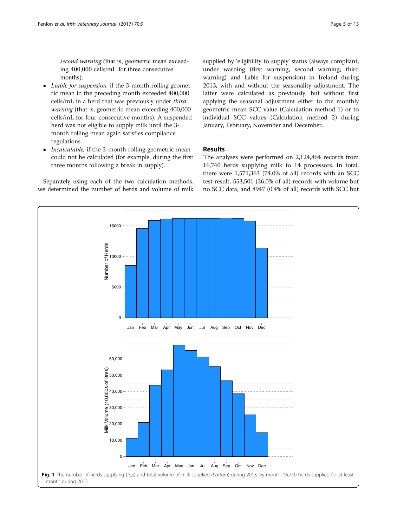<span id="page-4-0"></span>second warning (that is, geometric mean exceeding 400,000 cells/mL for three consecutive months).

- Liable for suspension, if the 3-month rolling geometric mean in the preceding month exceeded 400,000 cells/mL in a herd that was previously under third warning (that is, geometric mean exceeding 400,000 cells/mL for four consecutive months). A suspended herd was not eligible to supply milk until the 3 month rolling mean again satisfies compliance regulations.
- Incalculable, if the 3-month rolling geometric mean could not be calculated (for example, during the first three months following a break in supply).

Separately using each of the two calculation methods, we determined the number of herds and volume of milk

15000

supplied by 'eligibility to supply' status (always compliant, under warning (first warning, second warning, third warning) and liable for suspension) in Ireland during 2013, with and without the seasonality adjustment. The latter were calculated as previously, but without first applying the seasonal adjustment either to the monthly geometric mean SCC value (Calculation method 1) or to individual SCC values (Calculation method 2) during January, February, November and December.

# Results

The analyses were performed on 2,124,864 records from 16,740 herds supplying milk to 14 processors. In total, there were 1,571,363 (74.0% of all) records with an SCC test result, 553,501 (26.0% of all) records with volume but no SCC data, and 8947 (0.4% of all) records with SCC but

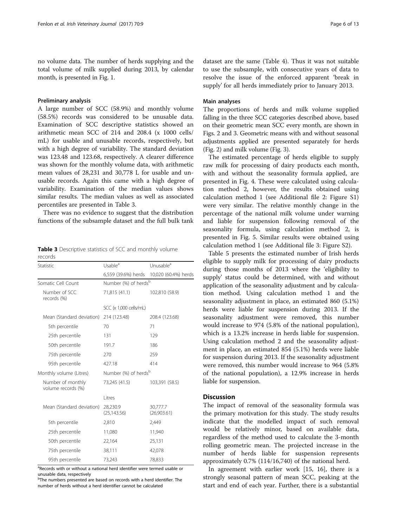no volume data. The number of herds supplying and the total volume of milk supplied during 2013, by calendar month, is presented in Fig. [1.](#page-4-0)

### Preliminary analysis

A large number of SCC (58.9%) and monthly volume (58.5%) records was considered to be unusable data. Examination of SCC descriptive statistics showed an arithmetic mean SCC of 214 and 208.4 (x 1000 cells/ mL) for usable and unusable records, respectively, but with a high degree of variability. The standard deviation was 123.48 and 123.68, respectively. A clearer difference was shown for the monthly volume data, with arithmetic mean values of 28,231 and 30,778 L for usable and unusable records. Again this came with a high degree of variability. Examination of the median values shows similar results. The median values as well as associated percentiles are presented in Table 3.

There was no evidence to suggest that the distribution functions of the subsample dataset and the full bulk tank

Table 3 Descriptive statistics of SCC and monthly volume records

| Statistic                               | Usable <sup>a</sup>              | Unusable <sup>a</sup>   |  |  |  |
|-----------------------------------------|----------------------------------|-------------------------|--|--|--|
|                                         | 6,559 (39.6%) herds              | 10,020 (60.4%) herds    |  |  |  |
| Somatic Cell Count                      | Number (%) of herds <sup>b</sup> |                         |  |  |  |
| Number of SCC<br>records (%)            | 71,815 (41.1)                    | 102,810 (58.9)          |  |  |  |
|                                         | SCC (x 1,000 cells/mL)           |                         |  |  |  |
| Mean (Standard deviation)               | 214 (123.48)                     | 208.4 (123.68)          |  |  |  |
| 5th percentile                          | 70                               | 71                      |  |  |  |
| 25th percentile                         | 131                              | 129                     |  |  |  |
| 50th percentile                         | 191.7                            | 186                     |  |  |  |
| 75th percentile                         | 270                              | 259                     |  |  |  |
| 95th percentile                         | 427.18                           | 414                     |  |  |  |
| Monthly volume (Litres)                 | Number (%) of herds <sup>b</sup> |                         |  |  |  |
| Number of monthly<br>volume records (%) | 73,245 (41.5)                    | 103,391 (58.5)          |  |  |  |
|                                         | Litres                           |                         |  |  |  |
| Mean (Standard deviation)               | 28,230.9<br>(25, 143.56)         | 30,777.7<br>(26,903.61) |  |  |  |
| 5th percentile                          | 2,810                            | 2,449                   |  |  |  |
| 25th percentile                         | 11,080                           | 11,940                  |  |  |  |
| 50th percentile                         | 22,164                           | 25,131                  |  |  |  |
| 75th percentile                         | 38,111                           | 42,078                  |  |  |  |
| 95th percentile                         | 73,243                           | 78,833                  |  |  |  |

<sup>a</sup>Records with or without a national herd identifier were termed usable or unusable data, respectively

<sup>b</sup>The numbers presented are based on records with a herd identifier. The number of herds without a herd identifier cannot be calculated

dataset are the same (Table [4](#page-6-0)). Thus it was not suitable to use the subsample, with consecutive years of data to resolve the issue of the enforced apparent 'break in supply' for all herds immediately prior to January 2013.

### Main analyses

The proportions of herds and milk volume supplied falling in the three SCC categories described above, based on their geometric mean SCC every month, are shown in Figs. [2](#page-7-0) and [3](#page-8-0). Geometric means with and without seasonal adjustments applied are presented separately for herds (Fig. [2](#page-7-0)) and milk volume (Fig. [3](#page-8-0)).

The estimated percentage of herds eligible to supply raw milk for processing of dairy products each month, with and without the seasonality formula applied, are presented in Fig. [4.](#page-9-0) These were calculated using calculation method 2, however, the results obtained using calculation method 1 (see Additional file [2:](#page-12-0) Figure S1) were very similar. The relative monthly change in the percentage of the national milk volume under warning and liable for suspension following removal of the seasonality formula, using calculation method 2, is presented in Fig. [5.](#page-10-0) Similar results were obtained using calculation method 1 (see Additional file [3](#page-12-0): Figure S2).

Table [5](#page-11-0) presents the estimated number of Irish herds eligible to supply milk for processing of dairy products during those months of 2013 where the 'eligibility to supply' status could be determined, with and without application of the seasonality adjustment and by calculation method. Using calculation method 1 and the seasonality adjustment in place, an estimated 860 (5.1%) herds were liable for suspension during 2013. If the seasonality adjustment were removed, this number would increase to 974 (5.8% of the national population), which is a 13.2% increase in herds liable for suspension. Using calculation method 2 and the seasonality adjustment in place, an estimated 854 (5.1%) herds were liable for suspension during 2013. If the seasonality adjustment were removed, this number would increase to 964 (5.8% of the national population), a 12.9% increase in herds liable for suspension.

# **Discussion**

The impact of removal of the seasonality formula was the primary motivation for this study. The study results indicate that the modelled impact of such removal would be relatively minor, based on available data, regardless of the method used to calculate the 3-month rolling geometric mean. The projected increase in the number of herds liable for suspension represents approximately 0.7% (114/16,740) of the national herd.

In agreement with earlier work [\[15](#page-12-0), [16](#page-12-0)], there is a strongly seasonal pattern of mean SCC, peaking at the start and end of each year. Further, there is a substantial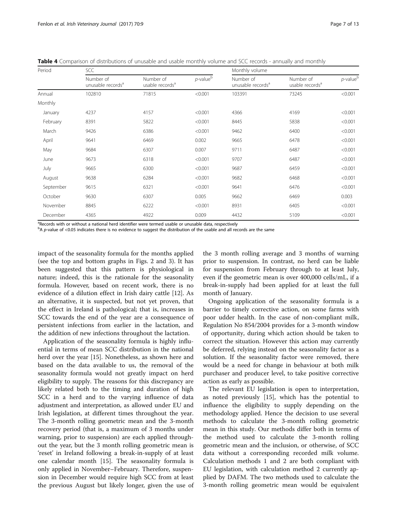<span id="page-6-0"></span>Table 4 Comparison of distributions of unusable and usable monthly volume and SCC records - annually and monthly

| Period    | SCC                                        |                                          |                | Monthly volume                             |                                          |                |  |
|-----------|--------------------------------------------|------------------------------------------|----------------|--------------------------------------------|------------------------------------------|----------------|--|
|           | Number of<br>unusable records <sup>a</sup> | Number of<br>usable records <sup>a</sup> | $p$ -value $b$ | Number of<br>unusable records <sup>a</sup> | Number of<br>usable records <sup>a</sup> | $p$ -value $b$ |  |
| Annual    | 102810                                     | 71815                                    | < 0.001        | 103391                                     | 73245                                    | < 0.001        |  |
| Monthly   |                                            |                                          |                |                                            |                                          |                |  |
| January   | 4237                                       | 4157                                     | < 0.001        | 4366                                       | 4169                                     | < 0.001        |  |
| February  | 8391                                       | 5822                                     | < 0.001        | 8445                                       | 5838                                     | < 0.001        |  |
| March     | 9426                                       | 6386                                     | < 0.001        | 9462                                       | 6400                                     | < 0.001        |  |
| April     | 9641                                       | 6469                                     | 0.002          | 9665                                       | 6478                                     | < 0.001        |  |
| May       | 9684                                       | 6307                                     | 0.007          | 9711                                       | 6487                                     | < 0.001        |  |
| June      | 9673                                       | 6318                                     | < 0.001        | 9707                                       | 6487                                     | < 0.001        |  |
| July      | 9665                                       | 6300                                     | < 0.001        | 9687                                       | 6459                                     | < 0.001        |  |
| August    | 9638                                       | 6284                                     | < 0.001        | 9682                                       | 6468                                     | < 0.001        |  |
| September | 9615                                       | 6321                                     | < 0.001        | 9641                                       | 6476                                     | < 0.001        |  |
| October   | 9630                                       | 6307                                     | 0.005          | 9662                                       | 6469                                     | 0.003          |  |
| November  | 8845                                       | 6222                                     | < 0.001        | 8931                                       | 6405                                     | < 0.001        |  |
| December  | 4365                                       | 4922                                     | 0.009          | 4432                                       | 5109                                     | < 0.001        |  |

<sup>a</sup>Records with or without a national herd identifier were termed usable or unusable data, respectively

b A p-value of <0.05 indicates there is no evidence to suggest the distribution of the usable and all records are the same

impact of the seasonality formula for the months applied (see the top and bottom graphs in Figs. [2](#page-7-0) and [3\)](#page-8-0). It has been suggested that this pattern is physiological in nature; indeed, this is the rationale for the seasonality formula. However, based on recent work, there is no evidence of a dilution effect in Irish dairy cattle [\[12\]](#page-12-0). As an alternative, it is suspected, but not yet proven, that the effect in Ireland is pathological; that is, increases in SCC towards the end of the year are a consequence of persistent infections from earlier in the lactation, and the addition of new infections throughout the lactation.

Application of the seasonality formula is highly influential in terms of mean SCC distribution in the national herd over the year [\[15\]](#page-12-0). Nonetheless, as shown here and based on the data available to us, the removal of the seasonality formula would not greatly impact on herd eligibility to supply. The reasons for this discrepancy are likely related both to the timing and duration of high SCC in a herd and to the varying influence of data adjustment and interpretation, as allowed under EU and Irish legislation, at different times throughout the year. The 3-month rolling geometric mean and the 3-month recovery period (that is, a maximum of 3 months under warning, prior to suspension) are each applied throughout the year, but the 3 month rolling geometric mean is 'reset' in Ireland following a break-in-supply of at least one calendar month [[15\]](#page-12-0). The seasonality formula is only applied in November–February. Therefore, suspension in December would require high SCC from at least the previous August but likely longer, given the use of the 3 month rolling average and 3 months of warning prior to suspension. In contrast, no herd can be liable for suspension from February through to at least July, even if the geometric mean is over 400,000 cells/mL, if a break-in-supply had been applied for at least the full month of January.

Ongoing application of the seasonality formula is a barrier to timely corrective action, on some farms with poor udder health. In the case of non-compliant milk, Regulation No 854/2004 provides for a 3-month window of opportunity, during which action should be taken to correct the situation. However this action may currently be deferred, relying instead on the seasonality factor as a solution. If the seasonality factor were removed, there would be a need for change in behaviour at both milk purchaser and producer level, to take positive corrective action as early as possible.

The relevant EU legislation is open to interpretation, as noted previously [[15\]](#page-12-0), which has the potential to influence the eligibility to supply depending on the methodology applied. Hence the decision to use several methods to calculate the 3-month rolling geometric mean in this study. Our methods differ both in terms of the method used to calculate the 3-month rolling geometric mean and the inclusion, or otherwise, of SCC data without a corresponding recorded milk volume. Calculation methods 1 and 2 are both compliant with EU legislation, with calculation method 2 currently applied by DAFM. The two methods used to calculate the 3-month rolling geometric mean would be equivalent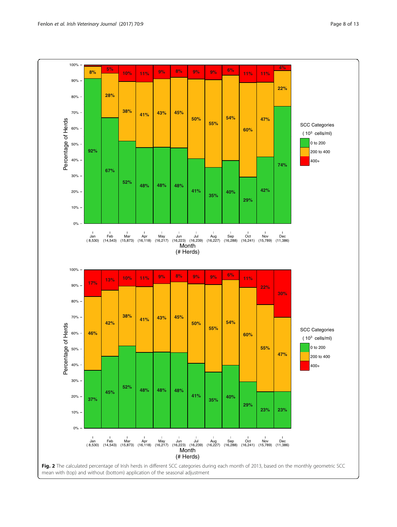<span id="page-7-0"></span>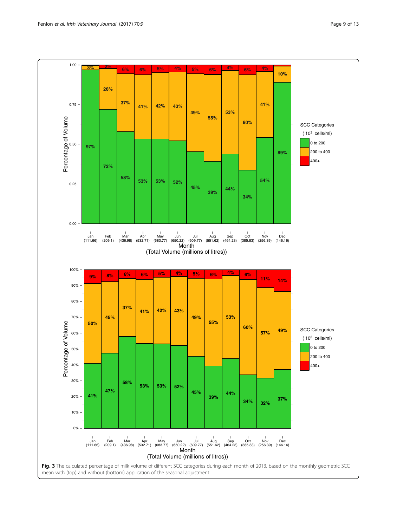<span id="page-8-0"></span>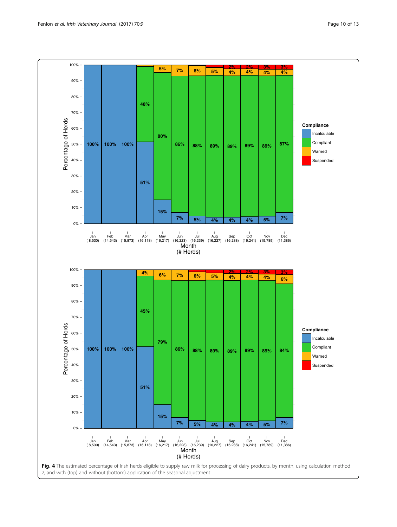<span id="page-9-0"></span>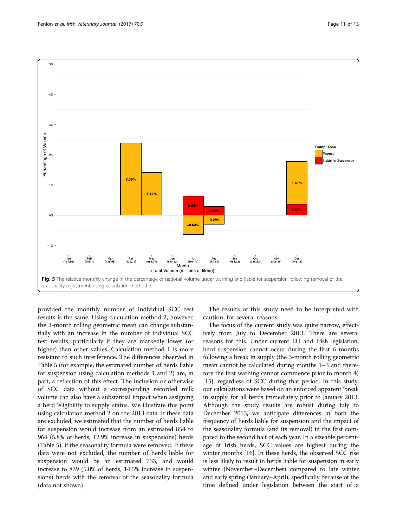

<span id="page-10-0"></span>

provided the monthly number of individual SCC test results is the same. Using calculation method 2, however, the 3-month rolling geometric mean can change substantially with an increase in the number of individual SCC test results, particularly if they are markedly lower (or higher) than other values. Calculation method 1 is more resistant to such interference. The differences observed in Table [5](#page-11-0) (for example, the estimated number of herds liable for suspension using calculation methods 1 and 2) are, in part, a reflection of this effect. The inclusion or otherwise of SCC data without a corresponding recorded milk volume can also have a substantial impact when assigning a herd 'eligibility to supply' status. We illustrate this point using calculation method 2 on the 2013 data. If these data are excluded, we estimated that the number of herds liable for suspension would increase from an estimated 854 to 964 (5.8% of herds, 12.9% increase in suspensions) herds (Table [5](#page-11-0)), if the seasonality formula were removed. If these data were not excluded, the number of herds liable for suspension would be an estimated 733, and would increase to 839 (5.0% of herds, 14.5% increase in suspensions) herds with the removal of the seasonality formula (data not shown).

The results of this study need to be interpreted with caution, for several reasons.

The focus of the current study was quite narrow, effectively from July to December 2013. There are several reasons for this. Under current EU and Irish legislation, herd suspension cannot occur during the first 6 months following a break in supply (the 3-month rolling geometric mean cannot be calculated during months 1–3 and therefore the first warning cannot commence prior to month 4) [[15](#page-12-0)], regardless of SCC during that period. In this study, our calculations were based on an enforced apparent 'break in supply' for all herds immediately prior to January 2013. Although the study results are robust during July to December 2013, we anticipate differences in both the frequency of herds liable for suspension and the impact of the seasonality formula (and its removal) in the first compared to the second half of each year. In a sizeable percentage of Irish herds, SCC values are highest during the winter months [\[16\]](#page-12-0). In these herds, the observed SCC rise is less likely to result in herds liable for suspension in early winter (November–December) compared to late winter and early spring (January–April), specifically because of the time defined under legislation between the start of a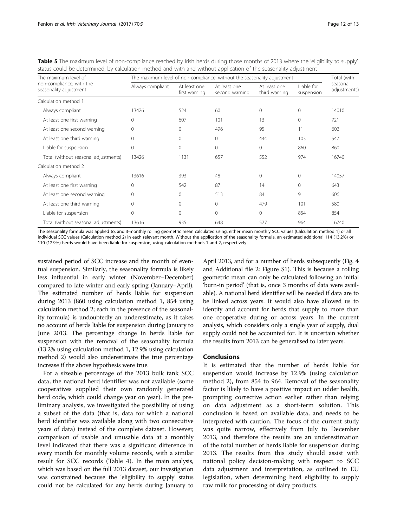| The maximum level of                               | The maximum level of non-compliance, without the seasonality adjustment |                               |                                |                               |                          |                          |
|----------------------------------------------------|-------------------------------------------------------------------------|-------------------------------|--------------------------------|-------------------------------|--------------------------|--------------------------|
| non-compliance, with the<br>seasonality adjustment | Always compliant                                                        | At least one<br>first warning | At least one<br>second warning | At least one<br>third warning | Liable for<br>suspension | seasonal<br>adjustments) |
| Calculation method 1                               |                                                                         |                               |                                |                               |                          |                          |
| Always compliant                                   | 13426                                                                   | 524                           | 60                             | $\mathbf{0}$                  | $\Omega$                 | 14010                    |
| At least one first warning                         | 0                                                                       | 607                           | 101                            | 13                            | $\Omega$                 | 721                      |
| At least one second warning                        | 0                                                                       | 0                             | 496                            | 95                            | 11                       | 602                      |
| At least one third warning                         | 0                                                                       | $\Omega$                      | 0                              | 444                           | 103                      | 547                      |
| Liable for suspension                              | $\Omega$                                                                | $\Omega$                      | $\Omega$                       | $\Omega$                      | 860                      | 860                      |
| Total (without seasonal adjustments)               | 13426                                                                   | 1131                          | 657                            | 552                           | 974                      | 16740                    |
| Calculation method 2                               |                                                                         |                               |                                |                               |                          |                          |
| Always compliant                                   | 13616                                                                   | 393                           | 48                             | $\mathbf{0}$                  | $\Omega$                 | 14057                    |
| At least one first warning                         | $\Omega$                                                                | 542                           | 87                             | 14                            | $\Omega$                 | 643                      |
| At least one second warning                        | 0                                                                       | 0                             | 513                            | 84                            | 9                        | 606                      |
| At least one third warning                         | $\Omega$                                                                | $\Omega$                      | $\Omega$                       | 479                           | 101                      | 580                      |
| Liable for suspension                              | 0                                                                       | $\Omega$                      | $\mathbf 0$                    | $\mathbf{0}$                  | 854                      | 854                      |
| Total (without seasonal adjustments)               | 13616                                                                   | 935                           | 648                            | 577                           | 964                      | 16740                    |

<span id="page-11-0"></span>Table 5 The maximum level of non-compliance reached by Irish herds during those months of 2013 where the 'eligibility to supply' status could be determined, by calculation method and with and without application of the seasonality adjustment

The seasonality formula was applied to, and 3-monthly rolling geometric mean calculated using, either mean monthly SCC values (Calculation method 1) or all individual SCC values (Calculation method 2) in each relevant month. Without the application of the seasonality formula, an estimated additional 114 (13.2%) or 110 (12.9%) herds would have been liable for suspension, using calculation methods 1 and 2, respectively

sustained period of SCC increase and the month of eventual suspension. Similarly, the seasonality formula is likely less influential in early winter (November–December) compared to late winter and early spring (January–April). The estimated number of herds liable for suspension during 2013 (860 using calculation method 1, 854 using calculation method 2; each in the presence of the seasonality formula) is undoubtedly an underestimate, as it takes no account of herds liable for suspension during January to June 2013. The percentage change in herds liable for suspension with the removal of the seasonality formula (13.2% using calculation method 1, 12.9% using calculation method 2) would also underestimate the true percentage increase if the above hypothesis were true.

For a sizeable percentage of the 2013 bulk tank SCC data, the national herd identifier was not available (some cooperatives supplied their own randomly generated herd code, which could change year on year). In the preliminary analysis, we investigated the possibility of using a subset of the data (that is, data for which a national herd identifier was available along with two consecutive years of data) instead of the complete dataset. However, comparison of usable and unusable data at a monthly level indicated that there was a significant difference in every month for monthly volume records, with a similar result for SCC records (Table [4](#page-6-0)). In the main analysis, which was based on the full 2013 dataset, our investigation was constrained because the 'eligibility to supply' status could not be calculated for any herds during January to

April 2013, and for a number of herds subsequently (Fig. [4](#page-9-0) and Additional file [2:](#page-12-0) Figure S1). This is because a rolling geometric mean can only be calculated following an initial 'burn-in period' (that is, once 3 months of data were available). A national herd identifier will be needed if data are to be linked across years. It would also have allowed us to identify and account for herds that supply to more than one cooperative during or across years. In the current analysis, which considers only a single year of supply, dual supply could not be accounted for. It is uncertain whether the results from 2013 can be generalised to later years.

### Conclusions

It is estimated that the number of herds liable for suspension would increase by 12.9% (using calculation method 2), from 854 to 964. Removal of the seasonality factor is likely to have a positive impact on udder health, prompting corrective action earlier rather than relying on data adjustment as a short-term solution. This conclusion is based on available data, and needs to be interpreted with caution. The focus of the current study was quite narrow, effectively from July to December 2013, and therefore the results are an underestimation of the total number of herds liable for suspension during 2013. The results from this study should assist with national policy decision-making with respect to SCC data adjustment and interpretation, as outlined in EU legislation, when determining herd eligibility to supply raw milk for processing of dairy products.